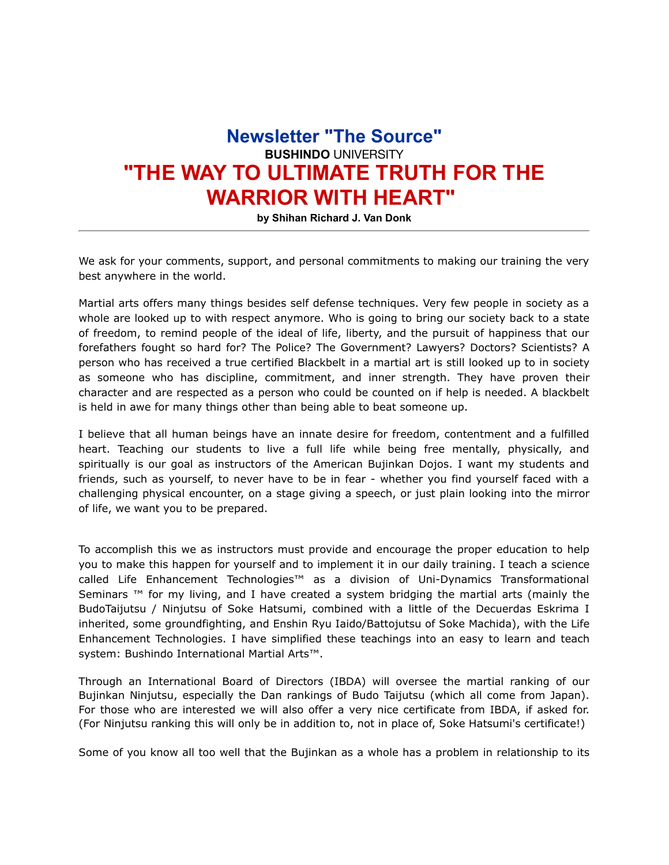## **Newsletter "The Source" BUSHINDO** UNIVERSITY **"THE WAY TO ULTIMATE TRUTH FOR THE WARRIOR WITH HEART"**

**by Shihan Richard J. Van Donk**

We ask for your comments, support, and personal commitments to making our training the very best anywhere in the world.

Martial arts offers many things besides self defense techniques. Very few people in society as a whole are looked up to with respect anymore. Who is going to bring our society back to a state of freedom, to remind people of the ideal of life, liberty, and the pursuit of happiness that our forefathers fought so hard for? The Police? The Government? Lawyers? Doctors? Scientists? A person who has received a true certified Blackbelt in a martial art is still looked up to in society as someone who has discipline, commitment, and inner strength. They have proven their character and are respected as a person who could be counted on if help is needed. A blackbelt is held in awe for many things other than being able to beat someone up.

I believe that all human beings have an innate desire for freedom, contentment and a fulfilled heart. Teaching our students to live a full life while being free mentally, physically, and spiritually is our goal as instructors of the American Bujinkan Dojos. I want my students and friends, such as yourself, to never have to be in fear - whether you find yourself faced with a challenging physical encounter, on a stage giving a speech, or just plain looking into the mirror of life, we want you to be prepared.

To accomplish this we as instructors must provide and encourage the proper education to help you to make this happen for yourself and to implement it in our daily training. I teach a science called Life Enhancement Technologies™ as a division of Uni-Dynamics Transformational Seminars ™ for my living, and I have created a system bridging the martial arts (mainly the BudoTaijutsu / Ninjutsu of Soke Hatsumi, combined with a little of the Decuerdas Eskrima I inherited, some groundfighting, and Enshin Ryu Iaido/Battojutsu of Soke Machida), with the Life Enhancement Technologies. I have simplified these teachings into an easy to learn and teach system: Bushindo International Martial Arts™.

Through an International Board of Directors (IBDA) will oversee the martial ranking of our Bujinkan Ninjutsu, especially the Dan rankings of Budo Taijutsu (which all come from Japan). For those who are interested we will also offer a very nice certificate from IBDA, if asked for. (For Ninjutsu ranking this will only be in addition to, not in place of, Soke Hatsumi's certificate!)

Some of you know all too well that the Bujinkan as a whole has a problem in relationship to its